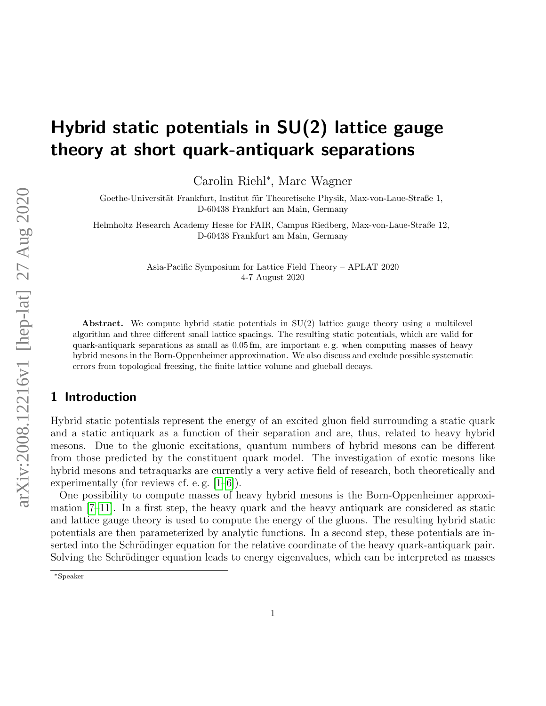# Hybrid static potentials in SU(2) lattice gauge theory at short quark-antiquark separations

Carolin Riehl<sup>∗</sup> , Marc Wagner

Goethe-Universität Frankfurt, Institut für Theoretische Physik, Max-von-Laue-Straße 1, D-60438 Frankfurt am Main, Germany

Helmholtz Research Academy Hesse for FAIR, Campus Riedberg, Max-von-Laue-Straße 12, D-60438 Frankfurt am Main, Germany

> Asia-Pacific Symposium for Lattice Field Theory – APLAT 2020 4-7 August 2020

Abstract. We compute hybrid static potentials in  $SU(2)$  lattice gauge theory using a multilevel algorithm and three different small lattice spacings. The resulting static potentials, which are valid for quark-antiquark separations as small as 0.05 fm, are important e. g. when computing masses of heavy hybrid mesons in the Born-Oppenheimer approximation. We also discuss and exclude possible systematic errors from topological freezing, the finite lattice volume and glueball decays.

# 1 Introduction

Hybrid static potentials represent the energy of an excited gluon field surrounding a static quark and a static antiquark as a function of their separation and are, thus, related to heavy hybrid mesons. Due to the gluonic excitations, quantum numbers of hybrid mesons can be different from those predicted by the constituent quark model. The investigation of exotic mesons like hybrid mesons and tetraquarks are currently a very active field of research, both theoretically and experimentally (for reviews cf. e. g. [\[1](#page-5-0)[–6\]](#page-6-0)).

One possibility to compute masses of heavy hybrid mesons is the Born-Oppenheimer approximation  $[7-11]$  $[7-11]$ . In a first step, the heavy quark and the heavy antiquark are considered as static and lattice gauge theory is used to compute the energy of the gluons. The resulting hybrid static potentials are then parameterized by analytic functions. In a second step, these potentials are inserted into the Schrödinger equation for the relative coordinate of the heavy quark-antiquark pair. Solving the Schrödinger equation leads to energy eigenvalues, which can be interpreted as masses

<sup>∗</sup>Speaker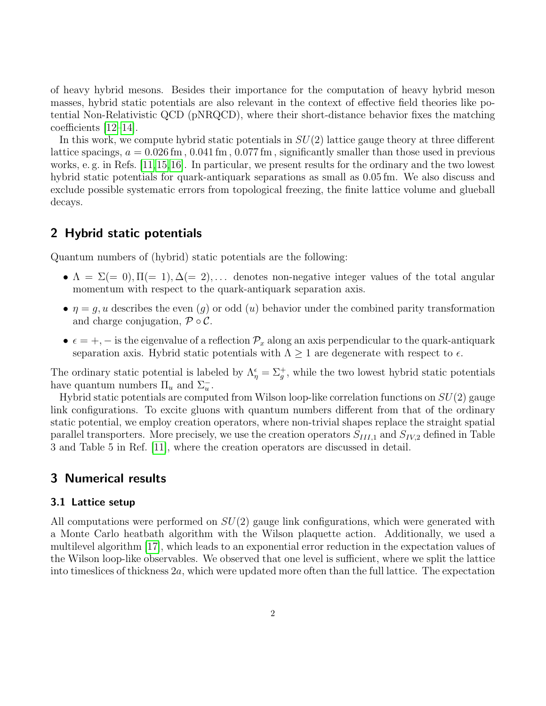of heavy hybrid mesons. Besides their importance for the computation of heavy hybrid meson masses, hybrid static potentials are also relevant in the context of effective field theories like potential Non-Relativistic QCD (pNRQCD), where their short-distance behavior fixes the matching coefficients [\[12–](#page-6-3)[14\]](#page-6-4).

In this work, we compute hybrid static potentials in  $SU(2)$  lattice gauge theory at three different lattice spacings,  $a = 0.026$  fm,  $0.041$  fm,  $0.077$  fm, significantly smaller than those used in previous works, e. g. in Refs. [\[11,](#page-6-2)[15,](#page-6-5)[16\]](#page-6-6). In particular, we present results for the ordinary and the two lowest hybrid static potentials for quark-antiquark separations as small as 0.05 fm. We also discuss and exclude possible systematic errors from topological freezing, the finite lattice volume and glueball decays.

## 2 Hybrid static potentials

Quantum numbers of (hybrid) static potentials are the following:

- $\Lambda = \Sigma (= 0), \Pi (= 1), \Delta (= 2), \ldots$  denotes non-negative integer values of the total angular momentum with respect to the quark-antiquark separation axis.
- $\eta = g, u$  describes the even (g) or odd (u) behavior under the combined parity transformation and charge conjugation,  $\mathcal{P} \circ \mathcal{C}$ .
- $\epsilon = +, -$  is the eigenvalue of a reflection  $\mathcal{P}_x$  along an axis perpendicular to the quark-antiquark separation axis. Hybrid static potentials with  $\Lambda \geq 1$  are degenerate with respect to  $\epsilon$ .

The ordinary static potential is labeled by  $\Lambda_{\eta}^{\epsilon} = \Sigma_{g}^{+}$ , while the two lowest hybrid static potentials have quantum numbers  $\Pi_u$  and  $\Sigma_u^-$ .

Hybrid static potentials are computed from Wilson loop-like correlation functions on  $SU(2)$  gauge link configurations. To excite gluons with quantum numbers different from that of the ordinary static potential, we employ creation operators, where non-trivial shapes replace the straight spatial parallel transporters. More precisely, we use the creation operators  $S_{III,1}$  and  $S_{IV,2}$  defined in Table 3 and Table 5 in Ref. [\[11\]](#page-6-2), where the creation operators are discussed in detail.

## 3 Numerical results

### 3.1 Lattice setup

All computations were performed on  $SU(2)$  gauge link configurations, which were generated with a Monte Carlo heatbath algorithm with the Wilson plaquette action. Additionally, we used a multilevel algorithm [\[17\]](#page-6-7), which leads to an exponential error reduction in the expectation values of the Wilson loop-like observables. We observed that one level is sufficient, where we split the lattice into timeslices of thickness  $2a$ , which were updated more often than the full lattice. The expectation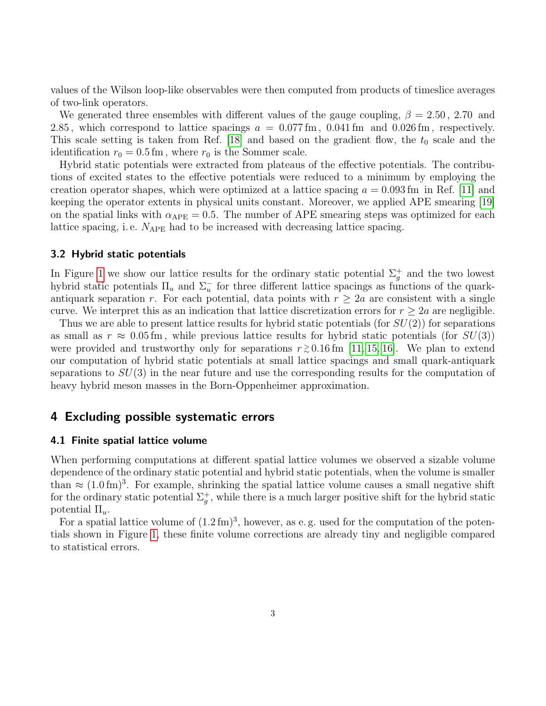values of the Wilson loop-like observables were then computed from products of timeslice averages of two-link operators.

We generated three ensembles with different values of the gauge coupling,  $\beta = 2.50$ , 2.70 and 2.85, which correspond to lattice spacings  $a = 0.077$  fm, 0.041 fm and 0.026 fm, respectively. This scale setting is taken from Ref. [\[18\]](#page-6-8) and based on the gradient flow, the  $t_0$  scale and the identification  $r_0 = 0.5$  fm, where  $r_0$  is the Sommer scale.

Hybrid static potentials were extracted from plateaus of the effective potentials. The contributions of excited states to the effective potentials were reduced to a minimum by employing the creation operator shapes, which were optimized at a lattice spacing  $a = 0.093$  fm in Ref. [\[11\]](#page-6-2) and keeping the operator extents in physical units constant. Moreover, we applied APE smearing [\[19\]](#page-6-9) on the spatial links with  $\alpha_{\text{APE}} = 0.5$ . The number of APE smearing steps was optimized for each lattice spacing, i.e.  $N_{\text{APE}}$  had to be increased with decreasing lattice spacing.

#### 3.2 Hybrid static potentials

In Figure [1](#page-3-0) we show our lattice results for the ordinary static potential  $\Sigma_g^+$  and the two lowest hybrid static potentials  $\Pi_u$  and  $\Sigma_u^-$  for three different lattice spacings as functions of the quarkantiquark separation r. For each potential, data points with  $r \geq 2a$  are consistent with a single curve. We interpret this as an indication that lattice discretization errors for  $r \geq 2a$  are negligible.

Thus we are able to present lattice results for hybrid static potentials (for  $SU(2)$ ) for separations as small as  $r \approx 0.05$  fm, while previous lattice results for hybrid static potentials (for  $SU(3)$ ) were provided and trustworthy only for separations  $r \gtrsim 0.16$  fm [\[11,](#page-6-2) [15,](#page-6-5) [16\]](#page-6-6). We plan to extend our computation of hybrid static potentials at small lattice spacings and small quark-antiquark separations to  $SU(3)$  in the near future and use the corresponding results for the computation of heavy hybrid meson masses in the Born-Oppenheimer approximation.

## 4 Excluding possible systematic errors

#### <span id="page-2-0"></span>4.1 Finite spatial lattice volume

When performing computations at different spatial lattice volumes we observed a sizable volume dependence of the ordinary static potential and hybrid static potentials, when the volume is smaller than  $\approx (1.0 \,\text{fm})^3$ . For example, shrinking the spatial lattice volume causes a small negative shift for the ordinary static potential  $\Sigma_g^+$ , while there is a much larger positive shift for the hybrid static potential  $\Pi_u$ .

For a spatial lattice volume of  $(1.2 \text{ fm})^3$ , however, as e.g. used for the computation of the potentials shown in Figure [1,](#page-3-0) these finite volume corrections are already tiny and negligible compared to statistical errors.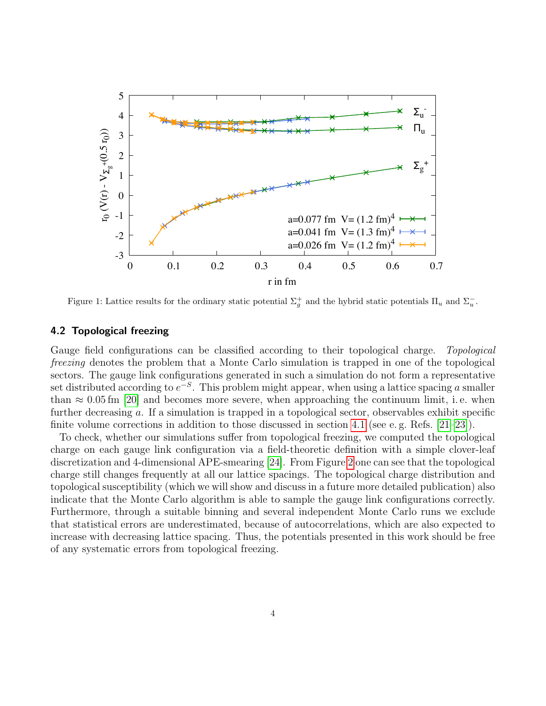<span id="page-3-0"></span>

Figure 1: Lattice results for the ordinary static potential  $\Sigma_g^+$  and the hybrid static potentials  $\Pi_u$  and  $\Sigma_u^-$ .

#### 4.2 Topological freezing

Gauge field configurations can be classified according to their topological charge. Topological freezing denotes the problem that a Monte Carlo simulation is trapped in one of the topological sectors. The gauge link configurations generated in such a simulation do not form a representative set distributed according to  $e^{-S}$ . This problem might appear, when using a lattice spacing a smaller than  $\approx 0.05$  fm [\[20\]](#page-6-10) and becomes more severe, when approaching the continuum limit, i.e. when further decreasing a. If a simulation is trapped in a topological sector, observables exhibit specific finite volume corrections in addition to those discussed in section [4.1](#page-2-0) (see e. g. Refs. [\[21](#page-6-11)[–23\]](#page-6-12)).

To check, whether our simulations suffer from topological freezing, we computed the topological charge on each gauge link configuration via a field-theoretic definition with a simple clover-leaf discretization and 4-dimensional APE-smearing [\[24\]](#page-7-0). From Figure [2](#page-4-0) one can see that the topological charge still changes frequently at all our lattice spacings. The topological charge distribution and topological susceptibility (which we will show and discuss in a future more detailed publication) also indicate that the Monte Carlo algorithm is able to sample the gauge link configurations correctly. Furthermore, through a suitable binning and several independent Monte Carlo runs we exclude that statistical errors are underestimated, because of autocorrelations, which are also expected to increase with decreasing lattice spacing. Thus, the potentials presented in this work should be free of any systematic errors from topological freezing.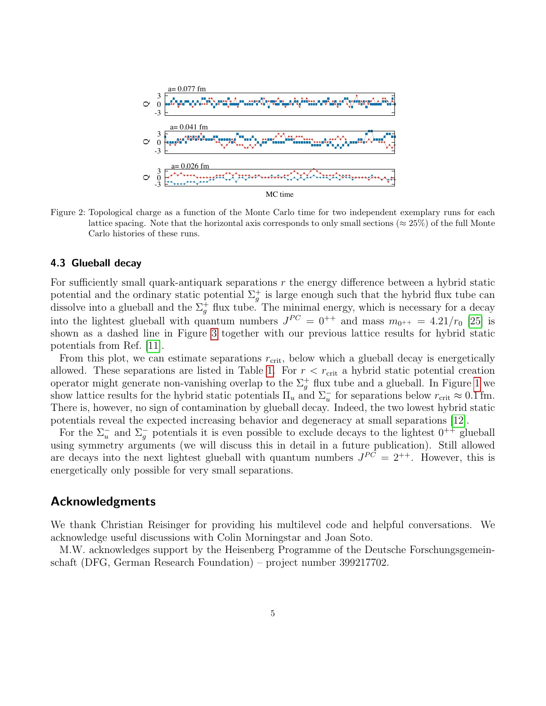<span id="page-4-0"></span>

Figure 2: Topological charge as a function of the Monte Carlo time for two independent exemplary runs for each lattice spacing. Note that the horizontal axis corresponds to only small sections ( $\approx 25\%$ ) of the full Monte Carlo histories of these runs.

#### 4.3 Glueball decay

For sufficiently small quark-antiquark separations  $r$  the energy difference between a hybrid static potential and the ordinary static potential  $\Sigma_g^+$  is large enough such that the hybrid flux tube can dissolve into a glueball and the  $\Sigma_g^+$  flux tube. The minimal energy, which is necessary for a decay into the lightest glueball with quantum numbers  $J^{PC} = 0^{++}$  and mass  $m_{0^{++}} = 4.21/r_0$  [\[25\]](#page-7-1) is shown as a dashed line in Figure [3](#page-5-1) together with our previous lattice results for hybrid static potentials from Ref. [\[11\]](#page-6-2).

From this plot, we can estimate separations  $r_{\text{crit}}$ , below which a glueball decay is energetically allowed. These separations are listed in Table [1.](#page-5-1) For  $r < r_{\text{crit}}$  a hybrid static potential creation operator might generate non-vanishing overlap to the  $\Sigma_g^+$  flux tube and a glueball. In Figure [1](#page-3-0) we show lattice results for the hybrid static potentials  $\Pi_u$  and  $\Sigma_u^-$  for separations below  $r_{\rm crit} \approx 0.1$  fm. There is, however, no sign of contamination by glueball decay. Indeed, the two lowest hybrid static potentials reveal the expected increasing behavior and degeneracy at small separations [\[12\]](#page-6-3).

For the  $\Sigma_u^-$  and  $\Sigma_g^-$  potentials it is even possible to exclude decays to the lightest  $0^{++}$  glueball using symmetry arguments (we will discuss this in detail in a future publication). Still allowed are decays into the next lightest glueball with quantum numbers  $J^{PC} = 2^{++}$ . However, this is energetically only possible for very small separations.

## Acknowledgments

We thank Christian Reisinger for providing his multilevel code and helpful conversations. We acknowledge useful discussions with Colin Morningstar and Joan Soto.

M.W. acknowledges support by the Heisenberg Programme of the Deutsche Forschungsgemeinschaft (DFG, German Research Foundation) – project number 399217702.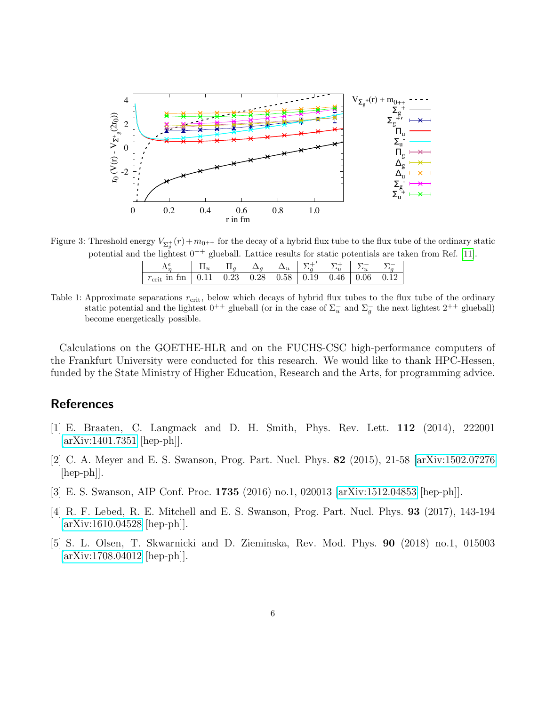<span id="page-5-1"></span>

Figure 3: Threshold energy  $V_{\Sigma_g^+}(r) + m_{0^{++}}$  for the decay of a hybrid flux tube to the flux tube of the ordinary static potential and the lightest  $0^{++}$  glueball. Lattice results for static potentials are taken from Ref. [\[11\]](#page-6-2).

| $r_{\rm crit}$ in $\rm{fm}$ |  |  | $\vert 0.11 \quad 0.23 \quad 0.28 \quad 0.58 \vert 0.19 \quad 0.46 \vert 0.06 \quad 0.12$ |  |
|-----------------------------|--|--|-------------------------------------------------------------------------------------------|--|

Table 1: Approximate separations  $r_{\text{crit}}$ , below which decays of hybrid flux tubes to the flux tube of the ordinary static potential and the lightest  $0^{++}$  glueball (or in the case of  $\Sigma_u^-$  and  $\Sigma_g^-$  the next lightest  $2^{++}$  glueball) become energetically possible.

Calculations on the GOETHE-HLR and on the FUCHS-CSC high-performance computers of the Frankfurt University were conducted for this research. We would like to thank HPC-Hessen, funded by the State Ministry of Higher Education, Research and the Arts, for programming advice.

## **References**

- <span id="page-5-0"></span>[1] E. Braaten, C. Langmack and D. H. Smith, Phys. Rev. Lett. 112 (2014), 222001 [\[arXiv:1401.7351](http://arxiv.org/abs/1401.7351) [hep-ph]].
- [2] C. A. Meyer and E. S. Swanson, Prog. Part. Nucl. Phys. 82 (2015), 21-58 [\[arXiv:1502.07276](http://arxiv.org/abs/1502.07276)  $\vert \text{hep-ph} \vert$ .
- [3] E. S. Swanson, AIP Conf. Proc. 1735 (2016) no.1, 020013 [\[arXiv:1512.04853](http://arxiv.org/abs/1512.04853) [hep-ph]].
- [4] R. F. Lebed, R. E. Mitchell and E. S. Swanson, Prog. Part. Nucl. Phys. 93 (2017), 143-194 [\[arXiv:1610.04528](http://arxiv.org/abs/1610.04528) [hep-ph]].
- [5] S. L. Olsen, T. Skwarnicki and D. Zieminska, Rev. Mod. Phys. 90 (2018) no.1, 015003 [\[arXiv:1708.04012](http://arxiv.org/abs/1708.04012) [hep-ph]].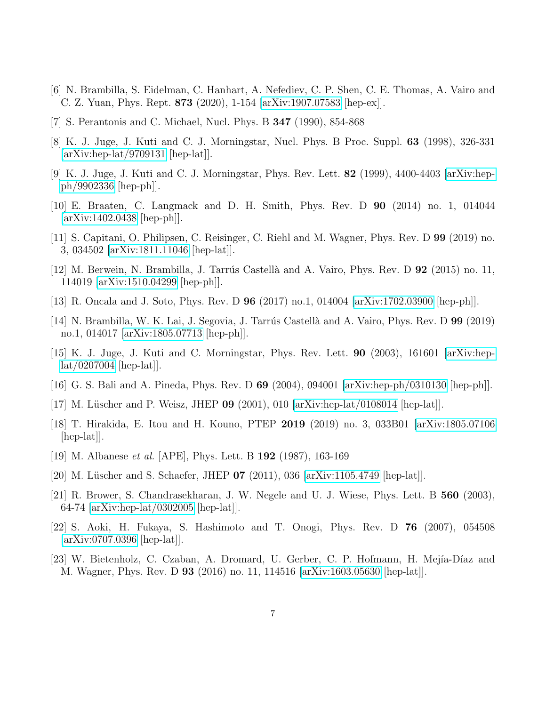- <span id="page-6-0"></span>[6] N. Brambilla, S. Eidelman, C. Hanhart, A. Nefediev, C. P. Shen, C. E. Thomas, A. Vairo and C. Z. Yuan, Phys. Rept. 873 (2020), 1-154 [\[arXiv:1907.07583](http://arxiv.org/abs/1907.07583) [hep-ex]].
- <span id="page-6-1"></span>[7] S. Perantonis and C. Michael, Nucl. Phys. B 347 (1990), 854-868
- [8] K. J. Juge, J. Kuti and C. J. Morningstar, Nucl. Phys. B Proc. Suppl. 63 (1998), 326-331 [\[arXiv:hep-lat/9709131](http://arxiv.org/abs/hep-lat/9709131) [hep-lat]].
- [9] K. J. Juge, J. Kuti and C. J. Morningstar, Phys. Rev. Lett. 82 (1999), 4400-4403 [\[arXiv:hep](http://arxiv.org/abs/hep-ph/9902336)[ph/9902336](http://arxiv.org/abs/hep-ph/9902336) [hep-ph]].
- [10] E. Braaten, C. Langmack and D. H. Smith, Phys. Rev. D 90 (2014) no. 1, 014044 [\[arXiv:1402.0438](http://arxiv.org/abs/1402.0438) [hep-ph]].
- <span id="page-6-2"></span>[11] S. Capitani, O. Philipsen, C. Reisinger, C. Riehl and M. Wagner, Phys. Rev. D 99 (2019) no. 3, 034502 [\[arXiv:1811.11046](http://arxiv.org/abs/1811.11046) [hep-lat]].
- <span id="page-6-3"></span>[12] M. Berwein, N. Brambilla, J. Tarrús Castellà and A. Vairo, Phys. Rev. D  $92$  (2015) no. 11, 114019 [\[arXiv:1510.04299](http://arxiv.org/abs/1510.04299) [hep-ph]].
- [13] R. Oncala and J. Soto, Phys. Rev. D 96 (2017) no.1, 014004 [\[arXiv:1702.03900](http://arxiv.org/abs/1702.03900) [hep-ph]].
- <span id="page-6-4"></span>[14] N. Brambilla, W. K. Lai, J. Segovia, J. Tarrús Castellà and A. Vairo, Phys. Rev. D 99 (2019) no.1, 014017 [\[arXiv:1805.07713](http://arxiv.org/abs/1805.07713) [hep-ph]].
- <span id="page-6-5"></span>[15] K. J. Juge, J. Kuti and C. Morningstar, Phys. Rev. Lett. 90 (2003), 161601 [\[arXiv:hep](http://arxiv.org/abs/hep-lat/0207004)[lat/0207004](http://arxiv.org/abs/hep-lat/0207004) [hep-lat]].
- <span id="page-6-6"></span>[16] G. S. Bali and A. Pineda, Phys. Rev. D 69 (2004), 094001 [\[arXiv:hep-ph/0310130](http://arxiv.org/abs/hep-ph/0310130) [hep-ph]].
- <span id="page-6-7"></span>[17] M. Lüscher and P. Weisz, JHEP 09 (2001), 010  $\arXiv:hep-lat/0108014$  [hep-lat]].
- <span id="page-6-8"></span>[18] T. Hirakida, E. Itou and H. Kouno, PTEP 2019 (2019) no. 3, 033B01 [\[arXiv:1805.07106](http://arxiv.org/abs/1805.07106) [hep-lat]].
- <span id="page-6-9"></span>[19] M. Albanese et al. [APE], Phys. Lett. B 192 (1987), 163-169
- <span id="page-6-10"></span>[20] M. Lüscher and S. Schaefer, JHEP  $07$  (2011), 036 [\[arXiv:1105.4749](http://arxiv.org/abs/1105.4749) [hep-lat]].
- <span id="page-6-11"></span>[21] R. Brower, S. Chandrasekharan, J. W. Negele and U. J. Wiese, Phys. Lett. B 560 (2003), 64-74 [\[arXiv:hep-lat/0302005](http://arxiv.org/abs/hep-lat/0302005) [hep-lat]].
- [22] S. Aoki, H. Fukaya, S. Hashimoto and T. Onogi, Phys. Rev. D 76 (2007), 054508 [\[arXiv:0707.0396](http://arxiv.org/abs/0707.0396) [hep-lat]].
- <span id="page-6-12"></span>[23] W. Bietenholz, C. Czaban, A. Dromard, U. Gerber, C. P. Hofmann, H. Mejía-Díaz and M. Wagner, Phys. Rev. D 93 (2016) no. 11, 114516 [\[arXiv:1603.05630](http://arxiv.org/abs/1603.05630) [hep-lat]].